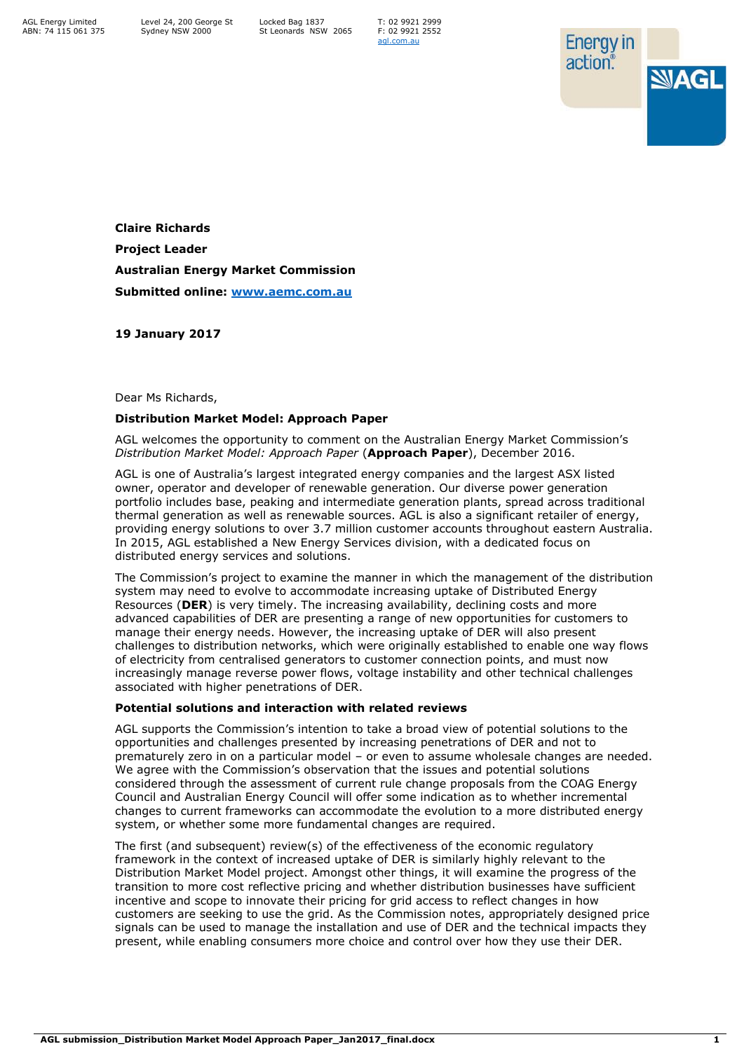AGL Energy Limited ABN: 74 115 061 375 T: 02 9921 2999 F: 02 9921 2552 [agl.com.au](https://www.agl.com.au/about-agl)



**Claire Richards Project Leader Australian Energy Market Commission Submitted online: [www.aemc.com.au](http://www.aemc.com.au/)**

**19 January 2017**

Dear Ms Richards,

## **Distribution Market Model: Approach Paper**

AGL welcomes the opportunity to comment on the Australian Energy Market Commission's *Distribution Market Model: Approach Paper* (**Approach Paper**), December 2016.

AGL is one of Australia's largest integrated energy companies and the largest ASX listed owner, operator and developer of renewable generation. Our diverse power generation portfolio includes base, peaking and intermediate generation plants, spread across traditional thermal generation as well as renewable sources. AGL is also a significant retailer of energy, providing energy solutions to over 3.7 million customer accounts throughout eastern Australia. In 2015, AGL established a New Energy Services division, with a dedicated focus on distributed energy services and solutions.

The Commission's project to examine the manner in which the management of the distribution system may need to evolve to accommodate increasing uptake of Distributed Energy Resources (**DER**) is very timely. The increasing availability, declining costs and more advanced capabilities of DER are presenting a range of new opportunities for customers to manage their energy needs. However, the increasing uptake of DER will also present challenges to distribution networks, which were originally established to enable one way flows of electricity from centralised generators to customer connection points, and must now increasingly manage reverse power flows, voltage instability and other technical challenges associated with higher penetrations of DER.

## **Potential solutions and interaction with related reviews**

AGL supports the Commission's intention to take a broad view of potential solutions to the opportunities and challenges presented by increasing penetrations of DER and not to prematurely zero in on a particular model – or even to assume wholesale changes are needed. We agree with the Commission's observation that the issues and potential solutions considered through the assessment of current rule change proposals from the COAG Energy Council and Australian Energy Council will offer some indication as to whether incremental changes to current frameworks can accommodate the evolution to a more distributed energy system, or whether some more fundamental changes are required.

The first (and subsequent) review(s) of the effectiveness of the economic regulatory framework in the context of increased uptake of DER is similarly highly relevant to the Distribution Market Model project. Amongst other things, it will examine the progress of the transition to more cost reflective pricing and whether distribution businesses have sufficient incentive and scope to innovate their pricing for grid access to reflect changes in how customers are seeking to use the grid. As the Commission notes, appropriately designed price signals can be used to manage the installation and use of DER and the technical impacts they present, while enabling consumers more choice and control over how they use their DER.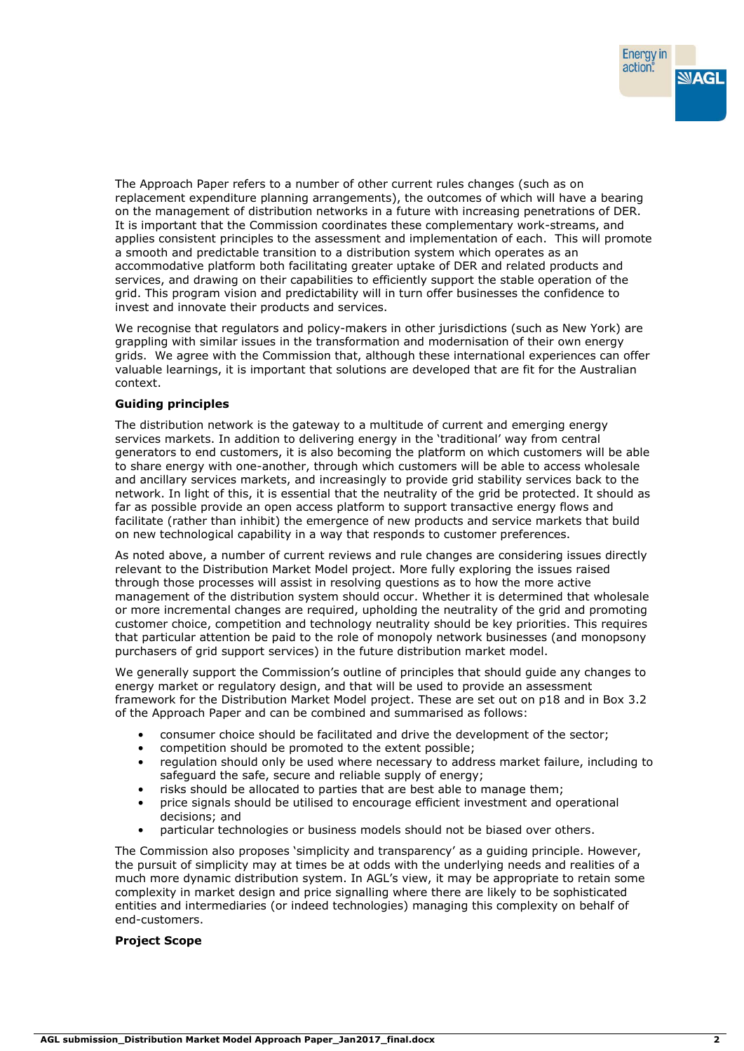The Approach Paper refers to a number of other current rules changes (such as on replacement expenditure planning arrangements), the outcomes of which will have a bearing on the management of distribution networks in a future with increasing penetrations of DER. It is important that the Commission coordinates these complementary work-streams, and applies consistent principles to the assessment and implementation of each. This will promote a smooth and predictable transition to a distribution system which operates as an accommodative platform both facilitating greater uptake of DER and related products and services, and drawing on their capabilities to efficiently support the stable operation of the grid. This program vision and predictability will in turn offer businesses the confidence to invest and innovate their products and services.

We recognise that regulators and policy-makers in other jurisdictions (such as New York) are grappling with similar issues in the transformation and modernisation of their own energy grids. We agree with the Commission that, although these international experiences can offer valuable learnings, it is important that solutions are developed that are fit for the Australian context.

## **Guiding principles**

The distribution network is the gateway to a multitude of current and emerging energy services markets. In addition to delivering energy in the 'traditional' way from central generators to end customers, it is also becoming the platform on which customers will be able to share energy with one-another, through which customers will be able to access wholesale and ancillary services markets, and increasingly to provide grid stability services back to the network. In light of this, it is essential that the neutrality of the grid be protected. It should as far as possible provide an open access platform to support transactive energy flows and facilitate (rather than inhibit) the emergence of new products and service markets that build on new technological capability in a way that responds to customer preferences.

As noted above, a number of current reviews and rule changes are considering issues directly relevant to the Distribution Market Model project. More fully exploring the issues raised through those processes will assist in resolving questions as to how the more active management of the distribution system should occur. Whether it is determined that wholesale or more incremental changes are required, upholding the neutrality of the grid and promoting customer choice, competition and technology neutrality should be key priorities. This requires that particular attention be paid to the role of monopoly network businesses (and monopsony purchasers of grid support services) in the future distribution market model.

We generally support the Commission's outline of principles that should guide any changes to energy market or regulatory design, and that will be used to provide an assessment framework for the Distribution Market Model project. These are set out on p18 and in Box 3.2 of the Approach Paper and can be combined and summarised as follows:

- consumer choice should be facilitated and drive the development of the sector;
- competition should be promoted to the extent possible;
- regulation should only be used where necessary to address market failure, including to safeguard the safe, secure and reliable supply of energy;
- risks should be allocated to parties that are best able to manage them;
- price signals should be utilised to encourage efficient investment and operational decisions; and
- particular technologies or business models should not be biased over others.

The Commission also proposes 'simplicity and transparency' as a guiding principle. However, the pursuit of simplicity may at times be at odds with the underlying needs and realities of a much more dynamic distribution system. In AGL's view, it may be appropriate to retain some complexity in market design and price signalling where there are likely to be sophisticated entities and intermediaries (or indeed technologies) managing this complexity on behalf of end-customers.

## **Project Scope**